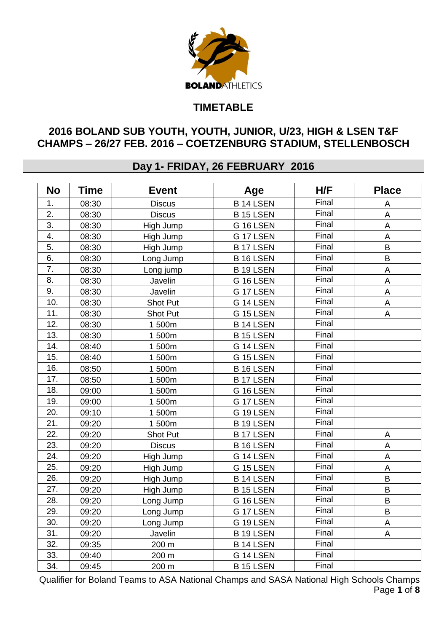

## **TIMETABLE**

## **2016 BOLAND SUB YOUTH, YOUTH, JUNIOR, U/23, HIGH & LSEN T&F CHAMPS – 26/27 FEB. 2016 – COETZENBURG STADIUM, STELLENBOSCH**

## **Day 1- FRIDAY, 26 FEBRUARY 2016**

| <b>No</b>        | <b>Time</b> | <b>Event</b>  | Age                | H/F   | <b>Place</b>            |
|------------------|-------------|---------------|--------------------|-------|-------------------------|
| 1.               | 08:30       | <b>Discus</b> | <b>B14 LSEN</b>    | Final | A                       |
| 2.               | 08:30       | <b>Discus</b> | <b>B15 LSEN</b>    | Final | A                       |
| 3.               | 08:30       | High Jump     | G 16 LSEN          | Final | A                       |
| 4.               | 08:30       | High Jump     | G 17 LSEN          | Final | $\mathsf A$             |
| $\overline{5}$ . | 08:30       | High Jump     | <b>B17 LSEN</b>    | Final | $\sf B$                 |
| 6.               | 08:30       | Long Jump     | <b>B16LSEN</b>     | Final | $\sf B$                 |
| 7.               | 08:30       | Long jump     | <b>B19LSEN</b>     | Final | $\mathsf A$             |
| 8.               | 08:30       | Javelin       | G 16 LSEN          | Final | $\mathsf A$             |
| 9.               | 08:30       | Javelin       | G 17 LSEN          | Final | $\overline{\mathsf{A}}$ |
| 10.              | 08:30       | Shot Put      | Final<br>G 14 LSEN |       | $\mathsf A$             |
| 11.              | 08:30       | Shot Put      | G 15 LSEN          | Final | A                       |
| 12.              | 08:30       | 1500m         | <b>B14 LSEN</b>    | Final |                         |
| 13.              | 08:30       | 1500m         | <b>B15 LSEN</b>    | Final |                         |
| 14.              | 08:40       | 1 500m        | G 14 LSEN          | Final |                         |
| 15.              | 08:40       | 1500m         | G 15 LSEN          | Final |                         |
| 16.              | 08:50       | 1500m         | <b>B16LSEN</b>     | Final |                         |
| 17.              | 08:50       | 1500m         | <b>B17 LSEN</b>    | Final |                         |
| 18.              | 09:00       | 1500m         | G 16 LSEN          | Final |                         |
| 19.              | 09:00       | 1500m         | G 17 LSEN          | Final |                         |
| 20.              | 09:10       | 1500m         | G 19 LSEN          | Final |                         |
| 21.              | 09:20       | 1 500m        | B 19 LSEN          | Final |                         |
| 22.              | 09:20       | Shot Put      | <b>B17 LSEN</b>    | Final | $\mathsf A$             |
| 23.              | 09:20       | <b>Discus</b> | <b>B16LSEN</b>     | Final | $\mathsf A$             |
| 24.              | 09:20       | High Jump     | G 14 LSEN          | Final | $\mathsf A$             |
| 25.              | 09:20       | High Jump     | G 15 LSEN          | Final | $\mathsf A$             |
| 26.              | 09:20       | High Jump     | <b>B14 LSEN</b>    | Final | $\sf B$                 |
| 27.              | 09:20       | High Jump     | <b>B15 LSEN</b>    | Final | $\sf B$                 |
| 28.              | 09:20       | Long Jump     | G 16 LSEN          | Final | $\sf B$                 |
| 29.              | 09:20       | Long Jump     | G 17 LSEN          | Final | B                       |
| 30.              | 09:20       | Long Jump     | G 19 LSEN          | Final | $\mathsf A$             |
| 31.              | 09:20       | Javelin       | B 19 LSEN          | Final | A                       |
| 32.              | 09:35       | 200 m         | <b>B14 LSEN</b>    | Final |                         |
| 33.              | 09:40       | 200 m         | G 14 LSEN          | Final |                         |
| 34.              | 09:45       | 200 m         | <b>B15 LSEN</b>    | Final |                         |

Qualifier for Boland Teams to ASA National Champs and SASA National High Schools Champs Page **1** of **8**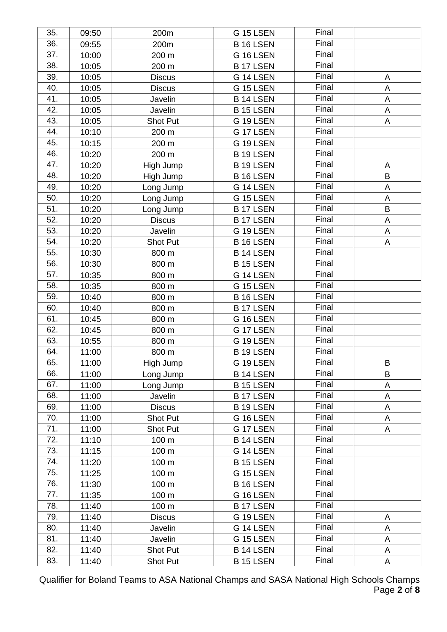| 35. | 09:50 | 200m            | <b>G 15 LSEN</b> | Final |             |
|-----|-------|-----------------|------------------|-------|-------------|
| 36. | 09:55 | 200m            | B 16 LSEN        | Final |             |
| 37. | 10:00 | 200 m           | G 16 LSEN        | Final |             |
| 38. | 10:05 | 200 m           | <b>B17 LSEN</b>  | Final |             |
| 39. | 10:05 | <b>Discus</b>   | G 14 LSEN        | Final | A           |
| 40. | 10:05 | <b>Discus</b>   | G 15 LSEN        | Final | A           |
| 41. | 10:05 | Javelin         | <b>B14 LSEN</b>  | Final | $\mathsf A$ |
| 42. | 10:05 | Javelin         | <b>B15 LSEN</b>  | Final | A           |
| 43. | 10:05 | <b>Shot Put</b> | G 19 LSEN        | Final | A           |
| 44. | 10:10 | 200 m           | G 17 LSEN        | Final |             |
| 45. | 10:15 | 200 m           | G 19 LSEN        | Final |             |
| 46. | 10:20 | 200 m           | <b>B19LSEN</b>   | Final |             |
| 47. | 10:20 | High Jump       | <b>B19LSEN</b>   | Final | A           |
| 48. | 10:20 | High Jump       | B 16 LSEN        | Final | B           |
| 49. | 10:20 | Long Jump       | G 14 LSEN        | Final | A           |
| 50. | 10:20 | Long Jump       | G 15 LSEN        | Final | A           |
| 51. | 10:20 | Long Jump       | <b>B17 LSEN</b>  | Final | B           |
| 52. | 10:20 | <b>Discus</b>   | <b>B17 LSEN</b>  | Final | A           |
| 53. | 10:20 | Javelin         | G 19 LSEN        | Final | A           |
| 54. | 10:20 | <b>Shot Put</b> | B 16 LSEN        | Final | A           |
| 55. | 10:30 | 800 m           | <b>B14 LSEN</b>  | Final |             |
| 56. | 10:30 | 800 m           | <b>B15 LSEN</b>  | Final |             |
| 57. | 10:35 | 800 m           | G 14 LSEN        | Final |             |
| 58. | 10:35 | 800 m           | G 15 LSEN        | Final |             |
| 59. | 10:40 | 800 m           | <b>B16LSEN</b>   | Final |             |
| 60. | 10:40 | 800 m           | <b>B17 LSEN</b>  | Final |             |
| 61. | 10:45 | 800 m           | G 16 LSEN        | Final |             |
| 62. | 10:45 | 800 m           | G 17 LSEN        | Final |             |
| 63. | 10:55 | 800 m           | G 19 LSEN        | Final |             |
| 64. | 11:00 | 800 m           | <b>B19LSEN</b>   | Final |             |
| 65. | 11:00 | High Jump       | G 19 LSEN        | Final | B           |
| 66. | 11:00 | Long Jump       | B 14 LSEN        | Final | B           |
| 67. | 11:00 | Long Jump       | B 15 LSEN        | Final | A           |
| 68. | 11:00 | Javelin         | <b>B17 LSEN</b>  | Final | A           |
| 69. | 11:00 | <b>Discus</b>   | B 19 LSEN        | Final | A           |
| 70. | 11:00 | Shot Put        | G 16 LSEN        | Final | A           |
| 71. | 11:00 | Shot Put        | G 17 LSEN        | Final | A           |
| 72. | 11:10 | 100 m           | <b>B14 LSEN</b>  | Final |             |
| 73. | 11:15 | 100 m           | G 14 LSEN        | Final |             |
| 74. | 11:20 | 100 m           | <b>B15 LSEN</b>  | Final |             |
| 75. | 11:25 | 100 m           | G 15 LSEN        | Final |             |
| 76. | 11:30 | 100 m           | B 16 LSEN        | Final |             |
| 77. | 11:35 | 100 m           | G 16 LSEN        | Final |             |
| 78. | 11:40 | 100 m           | <b>B17 LSEN</b>  | Final |             |
| 79. | 11:40 | <b>Discus</b>   | G 19 LSEN        | Final | A           |
| 80. | 11:40 | Javelin         | G 14 LSEN        | Final | A           |
| 81. | 11:40 | Javelin         | G 15 LSEN        | Final | A           |
| 82. | 11:40 | Shot Put        | <b>B14 LSEN</b>  | Final | Α           |
| 83. | 11:40 | Shot Put        | <b>B15 LSEN</b>  | Final | A           |

Qualifier for Boland Teams to ASA National Champs and SASA National High Schools Champs Page **2** of **8**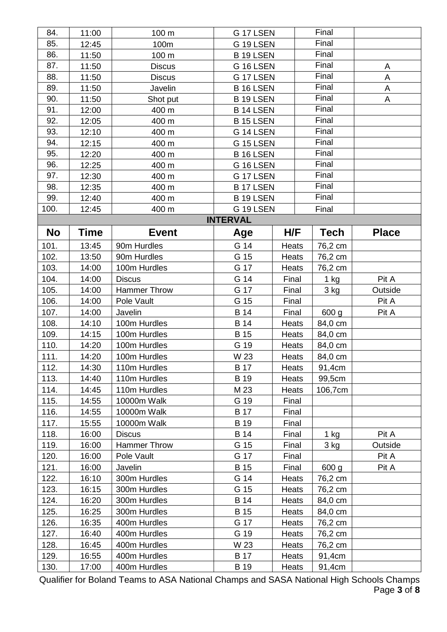| 84.       | 11:00 | 100 m               | G 17 LSEN       |       | Final       |              |
|-----------|-------|---------------------|-----------------|-------|-------------|--------------|
| 85.       | 12:45 | 100m                | G 19 LSEN       |       | Final       |              |
| 86.       | 11:50 | 100 m               | B 19 LSEN       |       | Final       |              |
| 87.       | 11:50 | <b>Discus</b>       | G 16 LSEN       |       | Final       | A            |
| 88.       | 11:50 | <b>Discus</b>       | G 17 LSEN       |       | Final       | A            |
| 89.       | 11:50 | Javelin             | <b>B16LSEN</b>  |       | Final       | A            |
| 90.       | 11:50 | Shot put            | <b>B19LSEN</b>  |       | Final       | A            |
| 91.       | 12:00 | 400 m               | <b>B14 LSEN</b> |       | Final       |              |
| 92.       | 12:05 | 400 m               | B 15 LSEN       |       | Final       |              |
| 93.       | 12:10 | 400 m               | G 14 LSEN       |       | Final       |              |
| 94.       | 12:15 | 400 m               | G 15 LSEN       |       | Final       |              |
| 95.       | 12:20 | 400 m               | B 16 LSEN       |       | Final       |              |
| 96.       | 12:25 | 400 m               | G 16 LSEN       |       | Final       |              |
| 97.       | 12:30 | 400 m               | G 17 LSEN       |       | Final       |              |
| 98.       | 12:35 | 400 m               | <b>B17 LSEN</b> |       | Final       |              |
| 99.       | 12:40 | 400 m               | <b>B19LSEN</b>  |       | Final       |              |
| 100.      | 12:45 | 400 m               | G 19 LSEN       |       | Final       |              |
|           |       |                     | <b>INTERVAL</b> |       |             |              |
| <b>No</b> | Time  | <b>Event</b>        | Age             | H/F   | <b>Tech</b> | <b>Place</b> |
| 101.      | 13:45 | 90m Hurdles         | G 14            | Heats | 76,2 cm     |              |
| 102.      | 13:50 | 90m Hurdles         | G 15            | Heats | 76,2 cm     |              |
| 103.      | 14:00 | 100m Hurdles        | G 17            | Heats | 76,2 cm     |              |
| 104.      | 14:00 | <b>Discus</b>       | G 14            | Final | $1$ kg      | Pit A        |
| 105.      | 14:00 | <b>Hammer Throw</b> | G 17            | Final | 3 kg        | Outside      |
| 106.      | 14:00 | Pole Vault          | G 15            | Final |             | Pit A        |
| 107.      | 14:00 | Javelin             | <b>B</b> 14     | Final | 600 g       | Pit A        |
| 108.      | 14:10 | 100m Hurdles        | <b>B</b> 14     | Heats | 84,0 cm     |              |
| 109.      | 14:15 | 100m Hurdles        | <b>B</b> 15     | Heats | 84,0 cm     |              |
| 110.      | 14:20 | 100m Hurdles        | G 19            | Heats | 84,0 cm     |              |
| 111.      | 14:20 | 100m Hurdles        | W 23            | Heats | 84,0 cm     |              |
| 112.      | 14:30 | 110m Hurdles        | <b>B</b> 17     | Heats | 91,4cm      |              |
| 113.      | 14:40 | 110m Hurdles        | B 19            | Heats | 99,5cm      |              |
| 114.      | 14:45 | 110m Hurdles        | M 23            | Heats | 106,7cm     |              |
| 115.      | 14:55 | 10000m Walk         | G 19            | Final |             |              |
| 116.      | 14:55 | 10000m Walk         | <b>B</b> 17     | Final |             |              |
| 117.      | 15:55 | 10000m Walk         | B 19            | Final |             |              |
| 118.      | 16:00 | <b>Discus</b>       | <b>B</b> 14     | Final | 1 kg        | Pit A        |
| 119.      | 16:00 | Hammer Throw        | G 15            | Final | 3 kg        | Outside      |
| 120.      | 16:00 | Pole Vault          | G 17            | Final |             | Pit A        |
| 121.      | 16:00 | Javelin             | <b>B</b> 15     | Final | 600 g       | Pit A        |
| 122.      | 16:10 | 300m Hurdles        | G 14            | Heats | 76,2 cm     |              |
| 123.      | 16:15 | 300m Hurdles        | G 15            | Heats | 76,2 cm     |              |
| 124.      | 16:20 | 300m Hurdles        | <b>B</b> 14     | Heats | 84,0 cm     |              |
| 125.      | 16:25 | 300m Hurdles        | <b>B</b> 15     | Heats | 84,0 cm     |              |
| 126.      | 16:35 | 400m Hurdles        | G 17            | Heats | 76,2 cm     |              |
| 127.      | 16:40 | 400m Hurdles        | G 19            | Heats | 76,2 cm     |              |
| 128.      | 16:45 | 400m Hurdles        | W 23            | Heats | 76,2 cm     |              |
| 129.      | 16:55 | 400m Hurdles        | <b>B</b> 17     | Heats | 91,4cm      |              |
| 130.      | 17:00 | 400m Hurdles        | B 19            | Heats | 91,4cm      |              |

Qualifier for Boland Teams to ASA National Champs and SASA National High Schools Champs Page **3** of **8**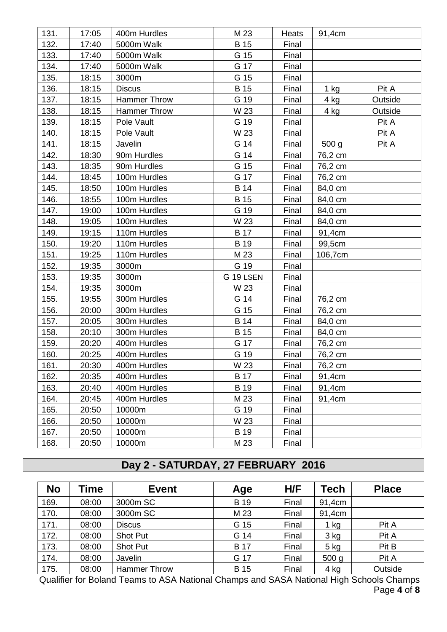| 131. | 17:05 | 400m Hurdles        | M 23        | Heats | 91,4cm           |         |
|------|-------|---------------------|-------------|-------|------------------|---------|
| 132. | 17:40 | 5000m Walk          | <b>B</b> 15 | Final |                  |         |
| 133. | 17:40 | 5000m Walk          | G 15        | Final |                  |         |
| 134. | 17:40 | 5000m Walk          | G 17        | Final |                  |         |
| 135. | 18:15 | 3000m               | G 15        | Final |                  |         |
| 136. | 18:15 | <b>Discus</b>       | <b>B</b> 15 | Final | 1 kg             | Pit A   |
| 137. | 18:15 | <b>Hammer Throw</b> | G 19        | Final | 4 kg             | Outside |
| 138. | 18:15 | Hammer Throw        | W 23        | Final | 4 kg             | Outside |
| 139. | 18:15 | Pole Vault          | G 19        | Final |                  | Pit A   |
| 140. | 18:15 | Pole Vault          | W 23        | Final |                  | Pit A   |
| 141. | 18:15 | Javelin             | G 14        | Final | 500 <sub>g</sub> | Pit A   |
| 142. | 18:30 | 90m Hurdles         | G 14        | Final | 76,2 cm          |         |
| 143. | 18:35 | 90m Hurdles         | G 15        | Final | 76,2 cm          |         |
| 144. | 18:45 | 100m Hurdles        | G 17        | Final | 76,2 cm          |         |
| 145. | 18:50 | 100m Hurdles        | <b>B</b> 14 | Final | 84,0 cm          |         |
| 146. | 18:55 | 100m Hurdles        | <b>B</b> 15 | Final | 84,0 cm          |         |
| 147. | 19:00 | 100m Hurdles        | G 19        | Final | 84,0 cm          |         |
| 148. | 19:05 | 100m Hurdles        | W 23        | Final | 84,0 cm          |         |
| 149. | 19:15 | 110m Hurdles        | <b>B</b> 17 | Final | 91,4cm           |         |
| 150. | 19:20 | 110m Hurdles        | <b>B</b> 19 | Final | 99,5cm           |         |
| 151. | 19:25 | 110m Hurdles        | M 23        | Final | 106,7cm          |         |
| 152. | 19:35 | 3000m               | G 19        | Final |                  |         |
| 153. | 19:35 | 3000m               | G 19 LSEN   | Final |                  |         |
| 154. | 19:35 | 3000m               | W 23        | Final |                  |         |
| 155. | 19:55 | 300m Hurdles        | G 14        | Final | 76,2 cm          |         |
| 156. | 20:00 | 300m Hurdles        | G 15        | Final | 76,2 cm          |         |
| 157. | 20:05 | 300m Hurdles        | <b>B</b> 14 | Final | 84,0 cm          |         |
| 158. | 20:10 | 300m Hurdles        | <b>B</b> 15 | Final | 84,0 cm          |         |
| 159. | 20:20 | 400m Hurdles        | G 17        | Final | 76,2 cm          |         |
| 160. | 20:25 | 400m Hurdles        | G 19        | Final | 76,2 cm          |         |
| 161. | 20:30 | 400m Hurdles        | W 23        | Final | 76,2 cm          |         |
| 162. | 20:35 | 400m Hurdles        | <b>B</b> 17 | Final | 91,4cm           |         |
| 163. | 20:40 | 400m Hurdles        | B 19        | Final | 91,4cm           |         |
| 164. | 20:45 | 400m Hurdles        | M 23        | Final | 91,4cm           |         |
| 165. | 20:50 | 10000m              | G 19        | Final |                  |         |
| 166. | 20:50 | 10000m              | W 23        | Final |                  |         |
| 167. | 20:50 | 10000m              | <b>B</b> 19 | Final |                  |         |
| 168. | 20:50 | 10000m              | M 23        | Final |                  |         |

## **Day 2 - SATURDAY, 27 FEBRUARY 2016**

| <b>No</b> | Time  | <b>Event</b>        | Age         | H/F   | Tech             | <b>Place</b> |
|-----------|-------|---------------------|-------------|-------|------------------|--------------|
| 169.      | 08:00 | 3000m SC            | <b>B</b> 19 | Final | 91,4cm           |              |
| 170.      | 08:00 | 3000m SC            | M 23        | Final | 91,4cm           |              |
| 171.      | 08:00 | <b>Discus</b>       | G 15        | Final | $1$ kg           | Pit A        |
| 172.      | 08:00 | <b>Shot Put</b>     | G 14        | Final | 3 kg             | Pit A        |
| 173.      | 08:00 | <b>Shot Put</b>     | <b>B</b> 17 | Final | $5$ kg           | Pit B        |
| 174.      | 08:00 | Javelin             | G 17        | Final | 500 <sub>g</sub> | Pit A        |
| 175.      | 08:00 | <b>Hammer Throw</b> | <b>B</b> 15 | Final | 4 kg             | Outside      |

Qualifier for Boland Teams to ASA National Champs and SASA National High Schools Champs Page **4** of **8**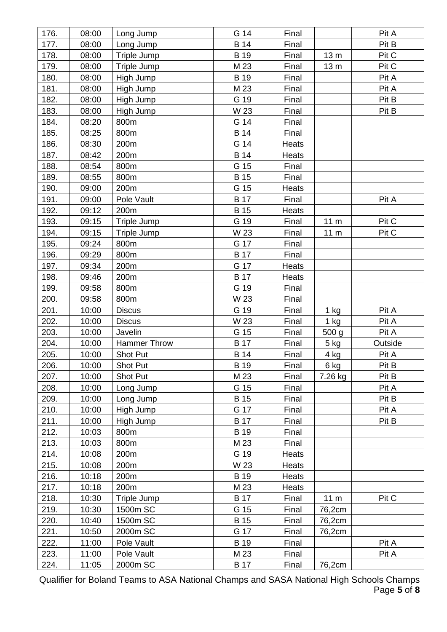| 176. | 08:00 | Long Jump     | G 14        | Final |                 | Pit A   |
|------|-------|---------------|-------------|-------|-----------------|---------|
| 177. | 08:00 | Long Jump     | <b>B</b> 14 | Final |                 | Pit B   |
| 178. | 08:00 | Triple Jump   | B 19        | Final | 13 <sub>m</sub> | Pit C   |
| 179. | 08:00 | Triple Jump   | M 23        | Final | 13 <sub>m</sub> | Pit C   |
| 180. | 08:00 | High Jump     | <b>B</b> 19 | Final |                 | Pit A   |
| 181. | 08:00 | High Jump     | M 23        | Final |                 | Pit A   |
| 182. | 08:00 | High Jump     | G 19        | Final |                 | Pit B   |
| 183. | 08:00 | High Jump     | W 23        | Final |                 | Pit B   |
| 184. | 08:20 | 800m          | G 14        | Final |                 |         |
| 185. | 08:25 | 800m          | <b>B</b> 14 | Final |                 |         |
| 186. | 08:30 | 200m          | G 14        | Heats |                 |         |
| 187. | 08:42 | 200m          | <b>B</b> 14 | Heats |                 |         |
| 188. | 08:54 | 800m          | G 15        | Final |                 |         |
| 189. | 08:55 | 800m          | <b>B</b> 15 | Final |                 |         |
| 190. | 09:00 | 200m          | G 15        | Heats |                 |         |
| 191. | 09:00 | Pole Vault    | <b>B</b> 17 | Final |                 | Pit A   |
| 192. | 09:12 | 200m          | <b>B</b> 15 | Heats |                 |         |
| 193. | 09:15 | Triple Jump   | G 19        | Final | 11 m            | Pit C   |
| 194. | 09:15 | Triple Jump   | W 23        | Final | 11 <sub>m</sub> | Pit C   |
| 195. | 09:24 | 800m          | G 17        | Final |                 |         |
| 196. | 09:29 | 800m          | <b>B</b> 17 | Final |                 |         |
| 197. | 09:34 | 200m          | G 17        | Heats |                 |         |
| 198. | 09:46 | 200m          | <b>B</b> 17 | Heats |                 |         |
| 199. | 09:58 | 800m          | G 19        | Final |                 |         |
| 200. | 09:58 | 800m          | W 23        | Final |                 |         |
| 201. | 10:00 | <b>Discus</b> | G 19        | Final | $1$ kg          | Pit A   |
| 202. | 10:00 | <b>Discus</b> | W 23        | Final | $1$ kg          | Pit A   |
| 203. | 10:00 | Javelin       | G 15        | Final | 500 g           | Pit A   |
| 204. | 10:00 | Hammer Throw  | <b>B</b> 17 | Final | $5$ kg          | Outside |
| 205. | 10:00 | Shot Put      | <b>B</b> 14 | Final | $4$ kg          | Pit A   |
| 206. | 10:00 | Shot Put      | <b>B</b> 19 | Final | 6 kg            | Pit B   |
| 207. | 10:00 | Shot Put      | M 23        | Final | 7.26 kg         | Pit B   |
| 208. | 10:00 | Long Jump     | G 15        | Final |                 | Pit A   |
| 209. | 10:00 | Long Jump     | <b>B</b> 15 | Final |                 | Pit B   |
| 210. | 10:00 | High Jump     | G 17        | Final |                 | Pit A   |
| 211. | 10:00 | High Jump     | <b>B</b> 17 | Final |                 | Pit B   |
| 212. | 10:03 | 800m          | <b>B</b> 19 | Final |                 |         |
| 213. | 10:03 | 800m          | M 23        | Final |                 |         |
| 214. | 10:08 | 200m          | G 19        | Heats |                 |         |
| 215. | 10:08 | 200m          | W 23        | Heats |                 |         |
| 216. | 10:18 | 200m          | <b>B</b> 19 | Heats |                 |         |
| 217. | 10:18 | 200m          | M 23        | Heats |                 |         |
| 218. | 10:30 | Triple Jump   | <b>B</b> 17 | Final | 11 <sub>m</sub> | Pit C   |
| 219. | 10:30 | 1500m SC      | G 15        | Final | 76,2cm          |         |
| 220. | 10:40 | 1500m SC      | <b>B</b> 15 | Final | 76,2cm          |         |
| 221. | 10:50 | 2000m SC      | G 17        | Final | 76,2cm          |         |
| 222. | 11:00 | Pole Vault    | <b>B</b> 19 | Final |                 | Pit A   |
| 223. | 11:00 | Pole Vault    | M 23        | Final |                 | Pit A   |
| 224. | 11:05 | 2000m SC      | <b>B</b> 17 | Final | 76,2cm          |         |

Qualifier for Boland Teams to ASA National Champs and SASA National High Schools Champs Page **5** of **8**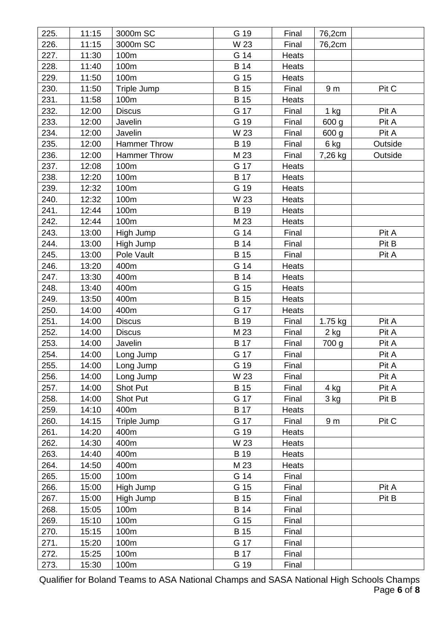| 225. | 11:15 | 3000m SC            | G 19        | Final | 76,2cm         |         |
|------|-------|---------------------|-------------|-------|----------------|---------|
| 226. | 11:15 | 3000m SC            | W 23        | Final | 76,2cm         |         |
| 227. | 11:30 | 100m                | G 14        | Heats |                |         |
| 228. | 11:40 | 100m                | <b>B</b> 14 | Heats |                |         |
| 229. | 11:50 | 100m                | G 15        | Heats |                |         |
| 230. | 11:50 | Triple Jump         | <b>B</b> 15 | Final | 9 <sub>m</sub> | Pit C   |
| 231. | 11:58 | 100m                | <b>B</b> 15 | Heats |                |         |
| 232. | 12:00 | <b>Discus</b>       | G 17        | Final | $1$ kg         | Pit A   |
| 233. | 12:00 | Javelin             | G 19        | Final | 600 g          | Pit A   |
| 234. | 12:00 | Javelin             | W 23        | Final | 600 g          | Pit A   |
| 235. | 12:00 | <b>Hammer Throw</b> | B 19        | Final | 6 kg           | Outside |
| 236. | 12:00 | Hammer Throw        | M 23        | Final | 7,26 kg        | Outside |
| 237. | 12:08 | 100m                | G 17        | Heats |                |         |
| 238. | 12:20 | 100m                | <b>B</b> 17 | Heats |                |         |
| 239. | 12:32 | 100m                | G 19        | Heats |                |         |
| 240. | 12:32 | 100m                | W 23        | Heats |                |         |
| 241. | 12:44 | 100m                | B 19        | Heats |                |         |
| 242. | 12:44 | 100m                | M 23        | Heats |                |         |
| 243. | 13:00 | High Jump           | G 14        | Final |                | Pit A   |
| 244. | 13:00 | High Jump           | <b>B</b> 14 | Final |                | Pit B   |
| 245. | 13:00 | Pole Vault          | <b>B</b> 15 | Final |                | Pit A   |
| 246. | 13:20 | 400m                | G 14        | Heats |                |         |
| 247. | 13:30 | 400m                | <b>B</b> 14 | Heats |                |         |
| 248. | 13:40 | 400m                | G 15        | Heats |                |         |
| 249. | 13:50 | 400m                | <b>B</b> 15 | Heats |                |         |
| 250. | 14:00 | 400m                | G 17        | Heats |                |         |
| 251. | 14:00 | <b>Discus</b>       | B 19        | Final | 1.75 kg        | Pit A   |
| 252. | 14:00 | <b>Discus</b>       | M 23        | Final | 2 kg           | Pit A   |
| 253. | 14:00 | Javelin             | <b>B</b> 17 | Final | 700 g          | Pit A   |
| 254. | 14:00 | Long Jump           | G 17        | Final |                | Pit A   |
| 255. | 14:00 | Long Jump           | G 19        | Final |                | Pit A   |
| 256. | 14:00 | Long Jump           | W 23        | Final |                | Pit A   |
| 257. | 14:00 | Shot Put            | <b>B</b> 15 | Final | 4 kg           | Pit A   |
| 258. | 14:00 | Shot Put            | G 17        | Final | 3 kg           | Pit B   |
| 259. | 14:10 | 400m                | <b>B</b> 17 | Heats |                |         |
| 260. | 14:15 | Triple Jump         | G 17        | Final | 9 <sub>m</sub> | Pit C   |
| 261. | 14:20 | 400m                | G 19        | Heats |                |         |
| 262. | 14:30 | 400m                | W 23        | Heats |                |         |
| 263. | 14:40 | 400m                | B 19        | Heats |                |         |
| 264. | 14:50 | 400m                | M 23        | Heats |                |         |
| 265. | 15:00 | 100m                | G 14        | Final |                |         |
| 266. | 15:00 | High Jump           | G 15        | Final |                | Pit A   |
| 267. | 15:00 | High Jump           | <b>B</b> 15 | Final |                | Pit B   |
| 268. | 15:05 | 100m                | <b>B</b> 14 | Final |                |         |
| 269. | 15:10 | 100m                | G 15        | Final |                |         |
| 270. | 15:15 | 100m                | <b>B</b> 15 | Final |                |         |
| 271. | 15:20 | 100m                | G 17        | Final |                |         |
| 272. | 15:25 | 100m                | <b>B</b> 17 | Final |                |         |
| 273. | 15:30 | 100m                | G 19        | Final |                |         |

Qualifier for Boland Teams to ASA National Champs and SASA National High Schools Champs Page **6** of **8**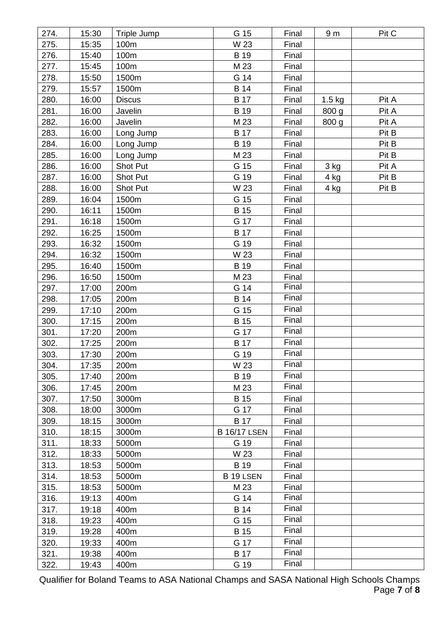| 274. | 15:30 | Triple Jump     | G 15                | Final | 9 <sub>m</sub> | Pit C |
|------|-------|-----------------|---------------------|-------|----------------|-------|
| 275. | 15:35 | 100m            | W 23                | Final |                |       |
| 276. | 15:40 | 100m            | B 19                | Final |                |       |
| 277. | 15:45 | 100m            | M 23                | Final |                |       |
| 278. | 15:50 | 1500m           | G 14                | Final |                |       |
| 279. | 15:57 | 1500m           | <b>B</b> 14         | Final |                |       |
| 280. | 16:00 | <b>Discus</b>   | <b>B</b> 17         | Final | $1.5$ kg       | Pit A |
| 281. | 16:00 | Javelin         | B 19                | Final | 800 g          | Pit A |
| 282. | 16:00 | Javelin         | M 23                | Final | 800 g          | Pit A |
| 283. | 16:00 | Long Jump       | <b>B</b> 17         | Final |                | Pit B |
| 284. | 16:00 | Long Jump       | <b>B</b> 19         | Final |                | Pit B |
| 285. | 16:00 | Long Jump       | M 23                | Final |                | Pit B |
| 286. | 16:00 | Shot Put        | G 15                | Final | 3 kg           | Pit A |
| 287. | 16:00 | Shot Put        | G 19                | Final | 4 kg           | Pit B |
| 288. | 16:00 | <b>Shot Put</b> | W 23                | Final | $4$ kg         | Pit B |
| 289. | 16:04 | 1500m           | G 15                | Final |                |       |
| 290. | 16:11 | 1500m           | <b>B</b> 15         | Final |                |       |
| 291. | 16:18 | 1500m           | G 17                | Final |                |       |
| 292. | 16:25 | 1500m           | <b>B</b> 17         | Final |                |       |
| 293. | 16:32 | 1500m           | G 19                | Final |                |       |
| 294. | 16:32 | 1500m           | W 23                | Final |                |       |
| 295. | 16:40 | 1500m           | <b>B</b> 19         | Final |                |       |
| 296. | 16:50 | 1500m           | M 23                | Final |                |       |
| 297. | 17:00 | 200m            | G 14                | Final |                |       |
| 298. | 17:05 | 200m            | <b>B</b> 14         | Final |                |       |
| 299. | 17:10 | 200m            | G 15                | Final |                |       |
| 300. | 17:15 | 200m            | <b>B</b> 15         | Final |                |       |
| 301. | 17:20 | 200m            | G 17                | Final |                |       |
| 302. | 17:25 | 200m            | <b>B</b> 17         | Final |                |       |
| 303. | 17:30 | 200m            | G 19                | Final |                |       |
| 304. | 17:35 | 200m            | W 23                | Final |                |       |
| 305. | 17:40 | 200m            | B 19                | Final |                |       |
| 306. | 17:45 | 200m            | M 23                | Final |                |       |
| 307. | 17:50 | 3000m           | <b>B</b> 15         | Final |                |       |
| 308. | 18:00 | 3000m           | G 17                | Final |                |       |
| 309. | 18:15 | 3000m           | <b>B</b> 17         | Final |                |       |
| 310. | 18:15 | 3000m           | <b>B 16/17 LSEN</b> | Final |                |       |
| 311. | 18:33 | 5000m           | G 19                | Final |                |       |
| 312. | 18:33 | 5000m           | W 23                | Final |                |       |
| 313. | 18:53 | 5000m           | <b>B</b> 19         | Final |                |       |
| 314. | 18:53 | 5000m           | B 19 LSEN           | Final |                |       |
| 315. | 18:53 | 5000m           | M 23                | Final |                |       |
| 316. | 19:13 | 400m            | G 14                | Final |                |       |
| 317. | 19:18 | 400m            | <b>B</b> 14         | Final |                |       |
| 318. | 19:23 | 400m            | G 15                | Final |                |       |
| 319. | 19:28 | 400m            | <b>B</b> 15         | Final |                |       |
| 320. | 19:33 | 400m            | G 17                | Final |                |       |
| 321. | 19:38 | 400m            | <b>B</b> 17         | Final |                |       |
| 322. | 19:43 | 400m            | G 19                | Final |                |       |

Qualifier for Boland Teams to ASA National Champs and SASA National High Schools Champs Page **7** of **8**